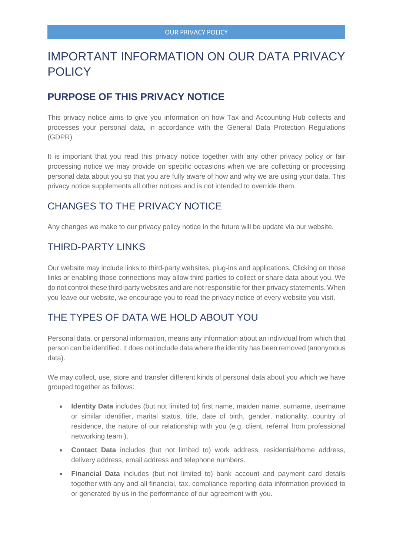# IMPORTANT INFORMATION ON OUR DATA PRIVACY **POLICY**

# **PURPOSE OF THIS PRIVACY NOTICE**

This privacy notice aims to give you information on how Tax and Accounting Hub collects and processes your personal data, in accordance with the General Data Protection Regulations (GDPR).

It is important that you read this privacy notice together with any other privacy policy or fair processing notice we may provide on specific occasions when we are collecting or processing personal data about you so that you are fully aware of how and why we are using your data. This privacy notice supplements all other notices and is not intended to override them.

# CHANGES TO THE PRIVACY NOTICE

Any changes we make to our privacy policy notice in the future will be update via our website.

#### THIRD-PARTY LINKS

Our website may include links to third-party websites, plug-ins and applications. Clicking on those links or enabling those connections may allow third parties to collect or share data about you. We do not control these third-party websites and are not responsible for their privacy statements. When you leave our website, we encourage you to read the privacy notice of every website you visit.

# THE TYPES OF DATA WE HOLD ABOUT YOU

Personal data, or personal information, means any information about an individual from which that person can be identified. It does not include data where the identity has been removed (anonymous data).

We may collect, use, store and transfer different kinds of personal data about you which we have grouped together as follows:

- **Identity Data** includes (but not limited to) first name, maiden name, surname, username or similar identifier, marital status, title, date of birth, gender, nationality, country of residence, the nature of our relationship with you (e.g. client, referral from professional networking team ).
- **Contact Data** includes (but not limited to) work address, residential/home address, delivery address, email address and telephone numbers.
- **Financial Data** includes (but not limited to) bank account and payment card details together with any and all financial, tax, compliance reporting data information provided to or generated by us in the performance of our agreement with you.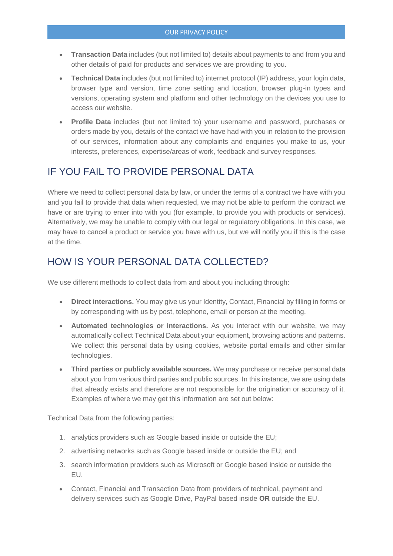- **Transaction Data** includes (but not limited to) details about payments to and from you and other details of paid for products and services we are providing to you.
- **Technical Data** includes (but not limited to) internet protocol (IP) address, your login data, browser type and version, time zone setting and location, browser plug-in types and versions, operating system and platform and other technology on the devices you use to access our website.
- **Profile Data** includes (but not limited to) your username and password, purchases or orders made by you, details of the contact we have had with you in relation to the provision of our services, information about any complaints and enquiries you make to us, your interests, preferences, expertise/areas of work, feedback and survey responses.

# IF YOU FAIL TO PROVIDE PERSONAL DATA

Where we need to collect personal data by law, or under the terms of a contract we have with you and you fail to provide that data when requested, we may not be able to perform the contract we have or are trying to enter into with you (for example, to provide you with products or services). Alternatively, we may be unable to comply with our legal or regulatory obligations. In this case, we may have to cancel a product or service you have with us, but we will notify you if this is the case at the time.

# HOW IS YOUR PERSONAL DATA COLLECTED?

We use different methods to collect data from and about you including through:

- **Direct interactions.** You may give us your Identity, Contact, Financial by filling in forms or by corresponding with us by post, telephone, email or person at the meeting.
- **Automated technologies or interactions.** As you interact with our website, we may automatically collect Technical Data about your equipment, browsing actions and patterns. We collect this personal data by using cookies, website portal emails and other similar technologies.
- **Third parties or publicly available sources.** We may purchase or receive personal data about you from various third parties and public sources. In this instance, we are using data that already exists and therefore are not responsible for the origination or accuracy of it. Examples of where we may get this information are set out below:

Technical Data from the following parties:

- 1. analytics providers such as Google based inside or outside the EU;
- 2. advertising networks such as Google based inside or outside the EU; and
- 3. search information providers such as Microsoft or Google based inside or outside the EU.
- Contact, Financial and Transaction Data from providers of technical, payment and delivery services such as Google Drive, PayPal based inside **OR** outside the EU.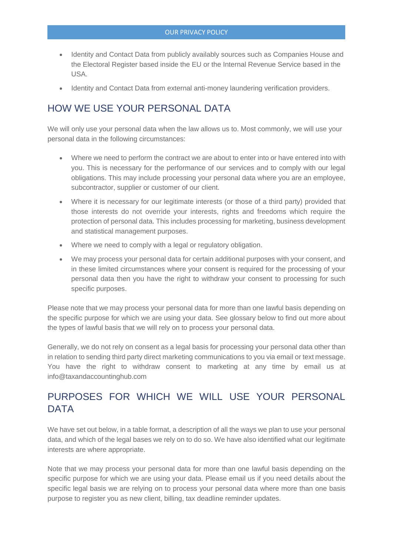- Identity and Contact Data from publicly availably sources such as Companies House and the Electoral Register based inside the EU or the Internal Revenue Service based in the USA.
- Identity and Contact Data from external anti-money laundering verification providers.

#### HOW WE USE YOUR PERSONAL DATA

We will only use your personal data when the law allows us to. Most commonly, we will use your personal data in the following circumstances:

- Where we need to perform the contract we are about to enter into or have entered into with you. This is necessary for the performance of our services and to comply with our legal obligations. This may include processing your personal data where you are an employee, subcontractor, supplier or customer of our client.
- Where it is necessary for our legitimate interests (or those of a third party) provided that those interests do not override your interests, rights and freedoms which require the protection of personal data. This includes processing for marketing, business development and statistical management purposes.
- Where we need to comply with a legal or regulatory obligation.
- We may process your personal data for certain additional purposes with your consent, and in these limited circumstances where your consent is required for the processing of your personal data then you have the right to withdraw your consent to processing for such specific purposes.

Please note that we may process your personal data for more than one lawful basis depending on the specific purpose for which we are using your data. See glossary below to find out more about the types of lawful basis that we will rely on to process your personal data.

Generally, we do not rely on consent as a legal basis for processing your personal data other than in relation to sending third party direct marketing communications to you via email or text message. You have the right to withdraw consent to marketing at any time by email us at info@taxandaccountinghub.com

# PURPOSES FOR WHICH WE WILL USE YOUR PERSONAL **DATA**

We have set out below, in a table format, a description of all the ways we plan to use your personal data, and which of the legal bases we rely on to do so. We have also identified what our legitimate interests are where appropriate.

Note that we may process your personal data for more than one lawful basis depending on the specific purpose for which we are using your data. Please email us if you need details about the specific legal basis we are relying on to process your personal data where more than one basis purpose to register you as new client, billing, tax deadline reminder updates.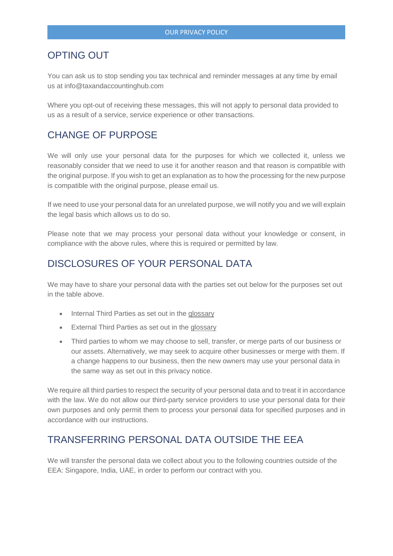#### OPTING OUT

You can ask us to stop sending you tax technical and reminder messages at any time by email us at info@taxandaccountinghub.com

Where you opt-out of receiving these messages, this will not apply to personal data provided to us as a result of a service, service experience or other transactions.

#### CHANGE OF PURPOSE

We will only use your personal data for the purposes for which we collected it, unless we reasonably consider that we need to use it for another reason and that reason is compatible with the original purpose. If you wish to get an explanation as to how the processing for the new purpose is compatible with the original purpose, please email us.

If we need to use your personal data for an unrelated purpose, we will notify you and we will explain the legal basis which allows us to do so.

Please note that we may process your personal data without your knowledge or consent, in compliance with the above rules, where this is required or permitted by law.

# DISCLOSURES OF YOUR PERSONAL DATA

We may have to share your personal data with the parties set out below for the purposes set out in the table above.

- Internal Third Parties as set out in the [glossary](https://www.frankhirth.com/privacy-notice?_cldee=aW5mb0B0bXRheGF0aW9uc2VydmljZXMuY29t&recipientid=contact-d8badaf3f758e811a958000d3a22c7f9-8e7a4533b33b4a198fef84ad10e4dbbb&utm_source=ClickDimensions&utm_medium=email&utm_campaign=EM1%20GDPR%20opt-in&esid=6541ce39-c35d-e811-a95f-000d3a2bcc69&urlid=2#Third_parties_Glossary)
- **External Third Parties as set out in the [glossary](https://www.frankhirth.com/privacy-notice?_cldee=aW5mb0B0bXRheGF0aW9uc2VydmljZXMuY29t&recipientid=contact-d8badaf3f758e811a958000d3a22c7f9-8e7a4533b33b4a198fef84ad10e4dbbb&utm_source=ClickDimensions&utm_medium=email&utm_campaign=EM1%20GDPR%20opt-in&esid=6541ce39-c35d-e811-a95f-000d3a2bcc69&urlid=2#Third_parties_Glossary)**
- Third parties to whom we may choose to sell, transfer, or merge parts of our business or our assets. Alternatively, we may seek to acquire other businesses or merge with them. If a change happens to our business, then the new owners may use your personal data in the same way as set out in this privacy notice.

We require all third parties to respect the security of your personal data and to treat it in accordance with the law. We do not allow our third-party service providers to use your personal data for their own purposes and only permit them to process your personal data for specified purposes and in accordance with our instructions.

#### TRANSFERRING PERSONAL DATA OUTSIDE THE EEA

We will transfer the personal data we collect about you to the following countries outside of the EEA: Singapore, India, UAE, in order to perform our contract with you.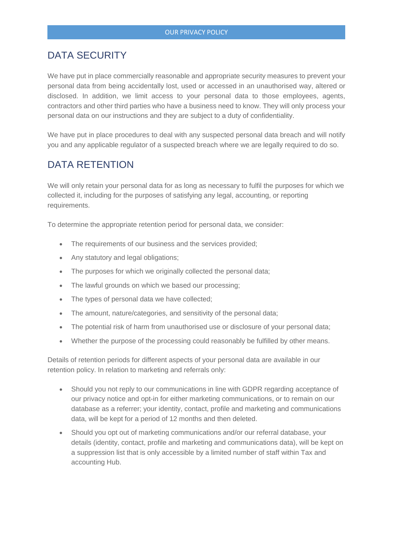#### DATA SECURITY

We have put in place commercially reasonable and appropriate security measures to prevent your personal data from being accidentally lost, used or accessed in an unauthorised way, altered or disclosed. In addition, we limit access to your personal data to those employees, agents, contractors and other third parties who have a business need to know. They will only process your personal data on our instructions and they are subject to a duty of confidentiality.

We have put in place procedures to deal with any suspected personal data breach and will notify you and any applicable regulator of a suspected breach where we are legally required to do so.

#### DATA RETENTION

We will only retain your personal data for as long as necessary to fulfil the purposes for which we collected it, including for the purposes of satisfying any legal, accounting, or reporting requirements.

To determine the appropriate retention period for personal data, we consider:

- The requirements of our business and the services provided;
- Any statutory and legal obligations;
- The purposes for which we originally collected the personal data;
- The lawful grounds on which we based our processing;
- The types of personal data we have collected;
- The amount, nature/categories, and sensitivity of the personal data;
- The potential risk of harm from unauthorised use or disclosure of your personal data;
- Whether the purpose of the processing could reasonably be fulfilled by other means.

Details of retention periods for different aspects of your personal data are available in our retention policy. In relation to marketing and referrals only:

- Should you not reply to our communications in line with GDPR regarding acceptance of our privacy notice and opt-in for either marketing communications, or to remain on our database as a referrer; your identity, contact, profile and marketing and communications data, will be kept for a period of 12 months and then deleted.
- Should you opt out of marketing communications and/or our referral database, your details (identity, contact, profile and marketing and communications data), will be kept on a suppression list that is only accessible by a limited number of staff within Tax and accounting Hub.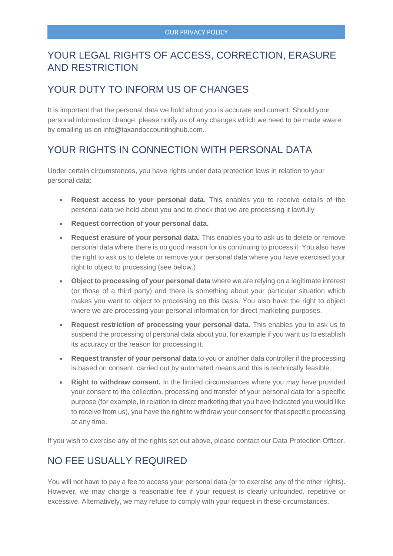# YOUR LEGAL RIGHTS OF ACCESS, CORRECTION, ERASURE AND RESTRICTION

# YOUR DUTY TO INFORM US OF CHANGES

It is important that the personal data we hold about you is accurate and current. Should your personal information change, please notify us of any changes which we need to be made aware by emailing us on info@taxandaccountinghub.com.

#### YOUR RIGHTS IN CONNECTION WITH PERSONAL DATA

Under certain circumstances, you have rights under data protection laws in relation to your personal data:

- **Request access to your personal data.** This enables you to receive details of the personal data we hold about you and to check that we are processing it lawfully
- **Request correction of your personal data.**
- **Request erasure of your personal data.** This enables you to ask us to delete or remove personal data where there is no good reason for us continuing to process it. You also have the right to ask us to delete or remove your personal data where you have exercised your right to object to processing (see below.)
- **Object to processing of your personal data** where we are relying on a legitimate interest (or those of a third party) and there is something about your particular situation which makes you want to object to processing on this basis. You also have the right to object where we are processing your personal information for direct marketing purposes.
- **Request restriction of processing your personal data**. This enables you to ask us to suspend the processing of personal data about you, for example if you want us to establish its accuracy or the reason for processing it.
- **Request transfer of your personal data** to you or another data controller if the processing is based on consent, carried out by automated means and this is technically feasible.
- **Right to withdraw consent.** In the limited circumstances where you may have provided your consent to the collection, processing and transfer of your personal data for a specific purpose (for example, in relation to direct marketing that you have indicated you would like to receive from us), you have the right to withdraw your consent for that specific processing at any time.

If you wish to exercise any of the rights set out above, please contact our Data Protection Officer.

# NO FEE USUALLY REQUIRED

You will not have to pay a fee to access your personal data (or to exercise any of the other rights). However, we may charge a reasonable fee if your request is clearly unfounded, repetitive or excessive. Alternatively, we may refuse to comply with your request in these circumstances.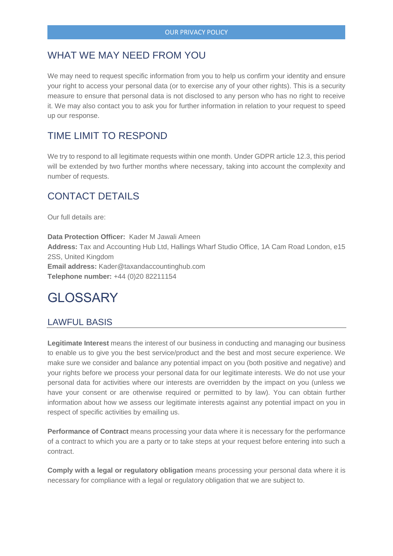#### WHAT WE MAY NEED FROM YOU

We may need to request specific information from you to help us confirm your identity and ensure your right to access your personal data (or to exercise any of your other rights). This is a security measure to ensure that personal data is not disclosed to any person who has no right to receive it. We may also contact you to ask you for further information in relation to your request to speed up our response.

#### TIME LIMIT TO RESPOND

We try to respond to all legitimate requests within one month. Under GDPR article 12.3, this period will be extended by two further months where necessary, taking into account the complexity and number of requests.

#### CONTACT DETAILS

Our full details are:

**Data Protection Officer:** Kader M Jawali Ameen **Address:** Tax and Accounting Hub Ltd, Hallings Wharf Studio Office, 1A Cam Road London, e15 2SS, United Kingdom **Email address:** Kader@taxandaccountinghub.com **Telephone number:** +44 (0)20 82211154

# **GLOSSARY**

#### LAWFUL BASIS

**Legitimate Interest** means the interest of our business in conducting and managing our business to enable us to give you the best service/product and the best and most secure experience. We make sure we consider and balance any potential impact on you (both positive and negative) and your rights before we process your personal data for our legitimate interests. We do not use your personal data for activities where our interests are overridden by the impact on you (unless we have your consent or are otherwise required or permitted to by law). You can obtain further information about how we assess our legitimate interests against any potential impact on you in respect of specific activities by emailing us.

**Performance of Contract** means processing your data where it is necessary for the performance of a contract to which you are a party or to take steps at your request before entering into such a contract.

**Comply with a legal or regulatory obligation** means processing your personal data where it is necessary for compliance with a legal or regulatory obligation that we are subject to.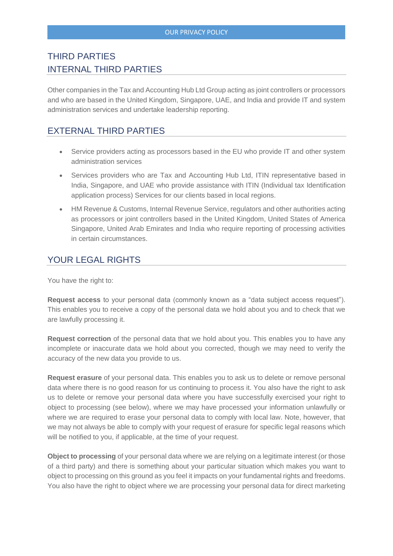#### THIRD PARTIES INTERNAL THIRD PARTIES

Other companies in the Tax and Accounting Hub Ltd Group acting as joint controllers or processors and who are based in the United Kingdom, Singapore, UAE, and India and provide IT and system administration services and undertake leadership reporting.

#### EXTERNAL THIRD PARTIES

- Service providers acting as processors based in the EU who provide IT and other system administration services
- Services providers who are Tax and Accounting Hub Ltd, ITIN representative based in India, Singapore, and UAE who provide assistance with ITIN (Individual tax Identification application process) Services for our clients based in local regions.
- HM Revenue & Customs, Internal Revenue Service, regulators and other authorities acting as processors or joint controllers based in the United Kingdom, United States of America Singapore, United Arab Emirates and India who require reporting of processing activities in certain circumstances.

#### YOUR LEGAL RIGHTS

You have the right to:

**Request access** to your personal data (commonly known as a "data subject access request"). This enables you to receive a copy of the personal data we hold about you and to check that we are lawfully processing it.

**Request correction** of the personal data that we hold about you. This enables you to have any incomplete or inaccurate data we hold about you corrected, though we may need to verify the accuracy of the new data you provide to us.

**Request erasure** of your personal data. This enables you to ask us to delete or remove personal data where there is no good reason for us continuing to process it. You also have the right to ask us to delete or remove your personal data where you have successfully exercised your right to object to processing (see below), where we may have processed your information unlawfully or where we are required to erase your personal data to comply with local law. Note, however, that we may not always be able to comply with your request of erasure for specific legal reasons which will be notified to you, if applicable, at the time of your request.

**Object to processing** of your personal data where we are relying on a legitimate interest (or those of a third party) and there is something about your particular situation which makes you want to object to processing on this ground as you feel it impacts on your fundamental rights and freedoms. You also have the right to object where we are processing your personal data for direct marketing